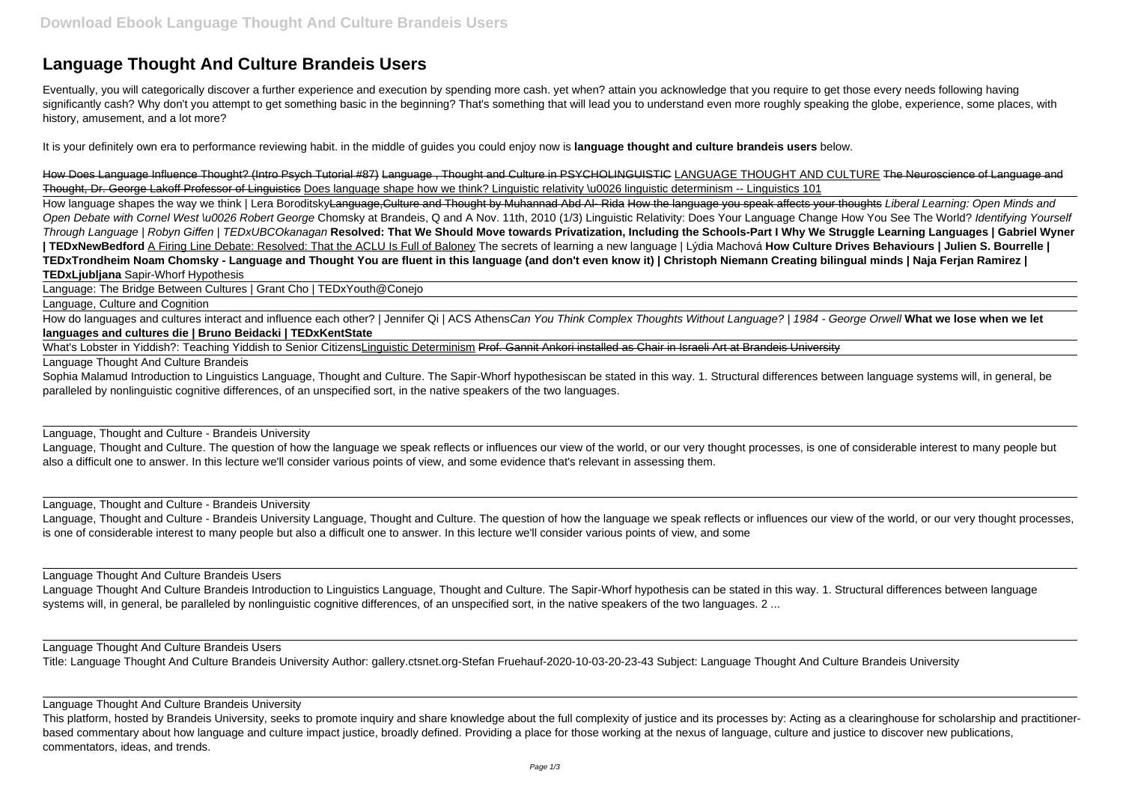## **Language Thought And Culture Brandeis Users**

Eventually, you will categorically discover a further experience and execution by spending more cash. yet when? attain you acknowledge that you require to get those every needs following having significantly cash? Why don't you attempt to get something basic in the beginning? That's something that will lead you to understand even more roughly speaking the globe, experience, some places, with history, amusement, and a lot more?

How Does Language Influence Thought? (Intro Psych Tutorial #87) Language, Thought and Culture in PSYCHOLINGUISTIC LANGUAGE THOUGHT AND CULTURE The Neuroscience of Language and Thought, Dr. George Lakoff Professor of Linguistics Does language shape how we think? Linguistic relativity \u0026 linguistic determinism -- Linguistics 101

It is your definitely own era to performance reviewing habit. in the middle of guides you could enjoy now is **language thought and culture brandeis users** below.

How language shapes the way we think | Lera Boroditsky<del>Language, Culture and Thought by Muhannad Abd Al- Rida How the language you speak affects your thoughts Liberal Learning: Open Minds and</del> Open Debate with Cornel West \u0026 Robert George Chomsky at Brandeis, Q and A Nov. 11th, 2010 (1/3) Linguistic Relativity: Does Your Language Change How You See The World? Identifying Yourself Through Language | Robyn Giffen | TEDxUBCOkanagan **Resolved: That We Should Move towards Privatization, Including the Schools-Part I Why We Struggle Learning Languages | Gabriel Wyner | TEDxNewBedford** A Firing Line Debate: Resolved: That the ACLU Is Full of Baloney The secrets of learning a new language | Lýdia Machová **How Culture Drives Behaviours | Julien S. Bourrelle | TEDxTrondheim Noam Chomsky - Language and Thought You are fluent in this language (and don't even know it) | Christoph Niemann Creating bilingual minds | Naja Ferjan Ramirez | TEDxLjubljana** Sapir-Whorf Hypothesis

What's Lobster in Yiddish?: Teaching Yiddish to Senior CitizensLinguistic Determinism Prof. Gannit Ankori installed as Chair in Israeli Art at Brandeis University Language Thought And Culture Brandeis

Language Thought And Culture Brandeis Introduction to Linguistics Language, Thought and Culture. The Sapir-Whorf hypothesis can be stated in this way. 1. Structural differences between language systems will, in general, be paralleled by nonlinguistic cognitive differences, of an unspecified sort, in the native speakers of the two languages, 2 ...

Language: The Bridge Between Cultures | Grant Cho | TEDxYouth@Conejo

Language, Culture and Cognition

How do languages and cultures interact and influence each other? | Jennifer Qi | ACS AthensCan You Think Complex Thoughts Without Language? | 1984 - George Orwell **What we lose when we let languages and cultures die | Bruno Beidacki | TEDxKentState**

This platform, hosted by Brandeis University, seeks to promote inquiry and share knowledge about the full complexity of justice and its processes by: Acting as a clearinghouse for scholarship and practitionerbased commentary about how language and culture impact justice, broadly defined. Providing a place for those working at the nexus of language, culture and justice to discover new publications, commentators, ideas, and trends.

Sophia Malamud Introduction to Linguistics Language, Thought and Culture. The Sapir-Whorf hypothesiscan be stated in this way. 1. Structural differences between language systems will, in general, be paralleled by nonlinguistic cognitive differences, of an unspecified sort, in the native speakers of the two languages.

Language, Thought and Culture - Brandeis University

Language, Thought and Culture. The question of how the language we speak reflects or influences our view of the world, or our very thought processes, is one of considerable interest to many people but also a difficult one to answer. In this lecture we'll consider various points of view, and some evidence that's relevant in assessing them.

Language, Thought and Culture - Brandeis University

Language, Thought and Culture - Brandeis University Language, Thought and Culture. The question of how the language we speak reflects or influences our view of the world, or our very thought processes, is one of considerable interest to many people but also a difficult one to answer. In this lecture we'll consider various points of view, and some

Language Thought And Culture Brandeis Users

Language Thought And Culture Brandeis Users

Title: Language Thought And Culture Brandeis University Author: gallery.ctsnet.org-Stefan Fruehauf-2020-10-03-20-23-43 Subject: Language Thought And Culture Brandeis University

Language Thought And Culture Brandeis University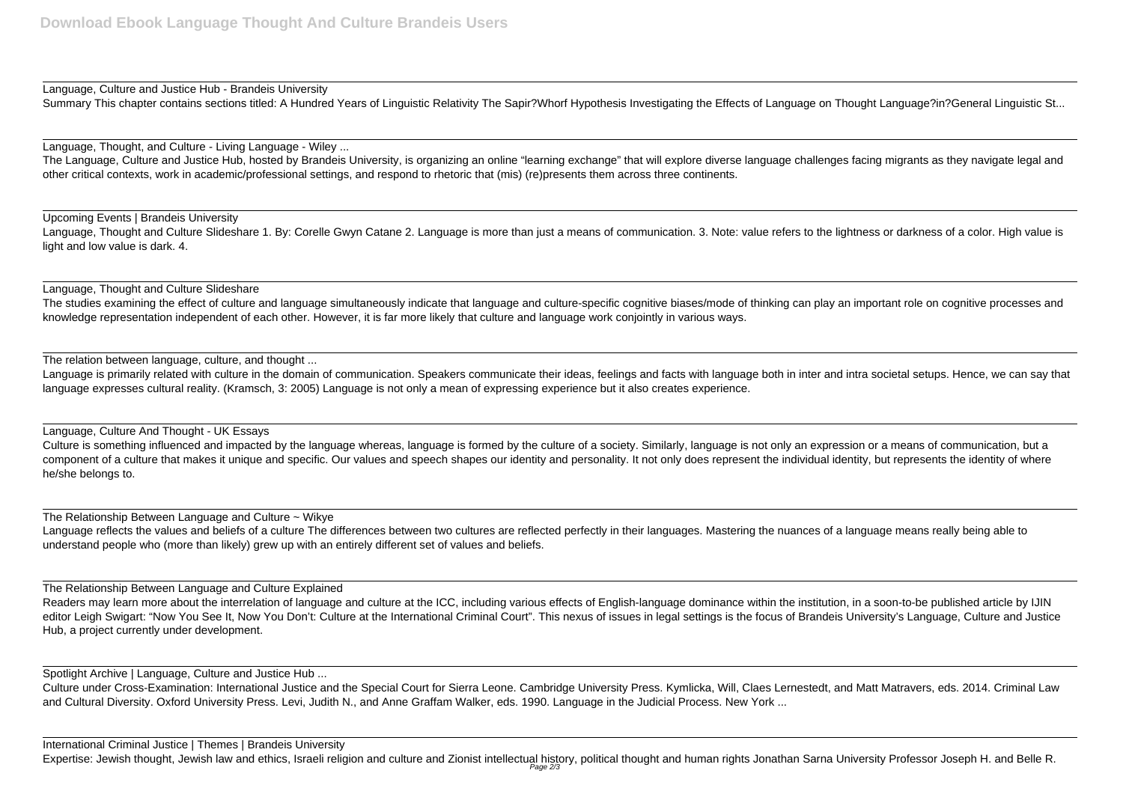Language, Culture and Justice Hub - Brandeis University Summary This chapter contains sections titled: A Hundred Years of Linguistic Relativity The Sapir?Whorf Hypothesis Investigating the Effects of Language on Thought Language?in?General Linguistic St...

Language, Thought, and Culture - Living Language - Wiley ...

The Language, Culture and Justice Hub, hosted by Brandeis University, is organizing an online "learning exchange" that will explore diverse language challenges facing migrants as they navigate legal and other critical contexts, work in academic/professional settings, and respond to rhetoric that (mis) (re)presents them across three continents.

The studies examining the effect of culture and language simultaneously indicate that language and culture-specific cognitive biases/mode of thinking can play an important role on cognitive processes and knowledge representation independent of each other. However, it is far more likely that culture and language work conjointly in various ways.

Upcoming Events | Brandeis University Language, Thought and Culture Slideshare 1. By: Corelle Gwyn Catane 2. Language is more than just a means of communication. 3. Note: value refers to the lightness or darkness of a color. High value is light and low value is dark. 4.

Language is primarily related with culture in the domain of communication. Speakers communicate their ideas, feelings and facts with language both in inter and intra societal setups. Hence, we can say that language expresses cultural reality. (Kramsch, 3: 2005) Language is not only a mean of expressing experience but it also creates experience.

Language, Thought and Culture Slideshare

The relation between language, culture, and thought ...

Readers may learn more about the interrelation of language and culture at the ICC, including various effects of English-language dominance within the institution, in a soon-to-be published article by IJIN editor Leigh Swigart: "Now You See It, Now You Don't: Culture at the International Criminal Court". This nexus of issues in legal settings is the focus of Brandeis University's Language, Culture and Justice Hub, a project currently under development.

Language, Culture And Thought - UK Essays

Culture is something influenced and impacted by the language whereas, language is formed by the culture of a society. Similarly, language is not only an expression or a means of communication, but a component of a culture that makes it unique and specific. Our values and speech shapes our identity and personality. It not only does represent the individual identity, but represents the identity of where he/she belongs to.

The Relationship Between Language and Culture ~ Wikye

Language reflects the values and beliefs of a culture The differences between two cultures are reflected perfectly in their languages. Mastering the nuances of a language means really being able to understand people who (more than likely) grew up with an entirely different set of values and beliefs.

The Relationship Between Language and Culture Explained

Spotlight Archive | Language, Culture and Justice Hub ...

Culture under Cross-Examination: International Justice and the Special Court for Sierra Leone. Cambridge University Press. Kymlicka, Will, Claes Lernestedt, and Matt Matravers, eds. 2014. Criminal Law and Cultural Diversity. Oxford University Press. Levi, Judith N., and Anne Graffam Walker, eds. 1990. Language in the Judicial Process. New York ...

International Criminal Justice | Themes | Brandeis University Expertise: Jewish thought, Jewish law and ethics, Israeli religion and culture and Zionist intellectual history, political thought and human rights Jonathan Sarna University Professor Joseph H. and Belle R. Page 2/3